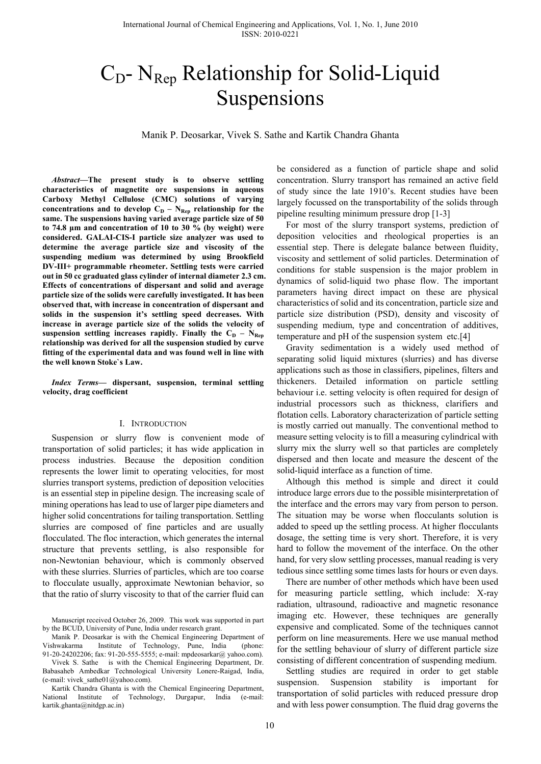# $C_D$ - N<sub>Rep</sub> Relationship for Solid-Liquid Suspensions

Manik P. Deosarkar, Vivek S. Sathe and Kartik Chandra Ghanta

*Abstract***—The present study is to observe settling characteristics of magnetite ore suspensions in aqueous Carboxy Methyl Cellulose (CMC) solutions of varying**  concentrations and to develop  $C_D - N_{Rep}$  relationship for the **same. The suspensions having varied average particle size of 50 to 74.8 μm and concentration of 10 to 30 % (by weight) were considered. GALAI-CIS-I particle size analyzer was used to determine the average particle size and viscosity of the suspending medium was determined by using Brookfield DV-III+ programmable rheometer. Settling tests were carried out in 50 cc graduated glass cylinder of internal diameter 2.3 cm. Effects of concentrations of dispersant and solid and average particle size of the solids were carefully investigated. It has been observed that, with increase in concentration of dispersant and solids in the suspension it's settling speed decreases. With increase in average particle size of the solids the velocity of**  suspension settling increases rapidly. Finally the  $C_D - N_{\text{Rep}}$ **relationship was derived for all the suspension studied by curve fitting of the experimental data and was found well in line with the well known Stoke`s Law.** 

*Index Terms***— dispersant, suspension, terminal settling velocity, drag coefficient** 

#### I. INTRODUCTION

Suspension or slurry flow is convenient mode of transportation of solid particles; it has wide application in process industries. Because the deposition condition represents the lower limit to operating velocities, for most slurries transport systems, prediction of deposition velocities is an essential step in pipeline design. The increasing scale of mining operations has lead to use of larger pipe diameters and higher solid concentrations for tailing transportation. Settling slurries are composed of fine particles and are usually flocculated. The floc interaction, which generates the internal structure that prevents settling, is also responsible for non-Newtonian behaviour, which is commonly observed with these slurries. Slurries of particles, which are too coarse to flocculate usually, approximate Newtonian behavior, so that the ratio of slurry viscosity to that of the carrier fluid can

Manuscript received October 26, 2009. This work was supported in part by the BCUD, University of Pune, India under research grant.

Manik P. Deosarkar is with the Chemical Engineering Department of Vishwakarma Institute of Technology, Pune, India (phone: 91-20-24202206; fax: 91-20-555-5555; e-mail: mpdeosarkar@ yahoo.com).

Vivek S. Sathe is with the Chemical Engineering Department, Dr. Babasaheb Ambedkar Technological University Lonere-Raigad, India, (e-mail: vivek\_sathe $01@yahoo.com$ ).

Kartik Chandra Ghanta is with the Chemical Engineering Department, National Institute of Technology, Durgapur, India (e-mail: kartik.ghanta@nitdgp.ac.in)

be considered as a function of particle shape and solid concentration. Slurry transport has remained an active field of study since the late 1910's. Recent studies have been largely focussed on the transportability of the solids through pipeline resulting minimum pressure drop [1-3]

For most of the slurry transport systems, prediction of deposition velocities and rheological properties is an essential step. There is delegate balance between fluidity, viscosity and settlement of solid particles. Determination of conditions for stable suspension is the major problem in dynamics of solid-liquid two phase flow. The important parameters having direct impact on these are physical characteristics of solid and its concentration, particle size and particle size distribution (PSD), density and viscosity of suspending medium, type and concentration of additives, temperature and pH of the suspension system etc.[4]

Gravity sedimentation is a widely used method of separating solid liquid mixtures (slurries) and has diverse applications such as those in classifiers, pipelines, filters and thickeners. Detailed information on particle settling behaviour i.e. setting velocity is often required for design of industrial processors such as thickness, clarifiers and flotation cells. Laboratory characterization of particle setting is mostly carried out manually. The conventional method to measure setting velocity is to fill a measuring cylindrical with slurry mix the slurry well so that particles are completely dispersed and then locate and measure the descent of the solid-liquid interface as a function of time.

Although this method is simple and direct it could introduce large errors due to the possible misinterpretation of the interface and the errors may vary from person to person. The situation may be worse when flocculants solution is added to speed up the settling process. At higher flocculants dosage, the setting time is very short. Therefore, it is very hard to follow the movement of the interface. On the other hand, for very slow settling processes, manual reading is very tedious since settling some times lasts for hours or even days.

There are number of other methods which have been used for measuring particle settling, which include: X-ray radiation, ultrasound, radioactive and magnetic resonance imaging etc. However, these techniques are generally expensive and complicated. Some of the techniques cannot perform on line measurements. Here we use manual method for the settling behaviour of slurry of different particle size consisting of different concentration of suspending medium.

 Settling studies are required in order to get stable suspension. Suspension stability is important for transportation of solid particles with reduced pressure drop and with less power consumption. The fluid drag governs the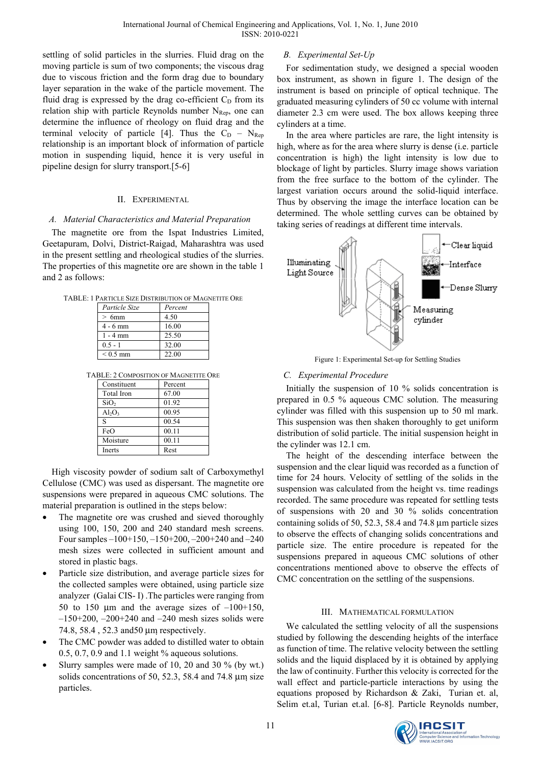settling of solid particles in the slurries. Fluid drag on the moving particle is sum of two components; the viscous drag due to viscous friction and the form drag due to boundary layer separation in the wake of the particle movement. The fluid drag is expressed by the drag co-efficient  $C<sub>D</sub>$  from its relation ship with particle Reynolds number  $N_{\text{Rep}}$ , one can determine the influence of rheology on fluid drag and the terminal velocity of particle [4]. Thus the  $C_D - N_{\text{Rep}}$ relationship is an important block of information of particle motion in suspending liquid, hence it is very useful in pipeline design for slurry transport.[5-6]

## II. EXPERIMENTAL

# *A. Material Characteristics and Material Preparation*

The magnetite ore from the Ispat Industries Limited, Geetapuram, Dolvi, District-Raigad, Maharashtra was used in the present settling and rheological studies of the slurries. The properties of this magnetite ore are shown in the table 1 and 2 as follows:

TABLE: 1 PARTICLE SIZE DISTRIBUTION OF MAGNETITE ORE

| Particle Size | Percent |
|---------------|---------|
| $>6$ mm       | 4.50    |
| $4 - 6$ mm    | 16.00   |
| $1 - 4$ mm    | 25.50   |
| $0.5 - 1$     | 32.00   |
| $< 0.5$ mm    | 22.00   |

| TABLE: 2 COMPOSITION OF MAGNETITE ORE |  |
|---------------------------------------|--|
|---------------------------------------|--|

| Constituent      | Percent |  |
|------------------|---------|--|
| Total Iron       | 67.00   |  |
| SiO <sub>2</sub> | 01.92   |  |
| $Al_2O_3$        | 00.95   |  |
| S                | 00.54   |  |
| FeO              | 00.11   |  |
| Moisture         | 00.11   |  |
| Inerts           | Rest    |  |

High viscosity powder of sodium salt of Carboxymethyl Cellulose (CMC) was used as dispersant. The magnetite ore suspensions were prepared in aqueous CMC solutions. The material preparation is outlined in the steps below:

- The magnetite ore was crushed and sieved thoroughly using 100, 150, 200 and 240 standard mesh screens. Four samples –100+150, –150+200, –200+240 and –240 mesh sizes were collected in sufficient amount and stored in plastic bags.
- Particle size distribution, and average particle sizes for the collected samples were obtained, using particle size analyzer (Galai CIS- I) .The particles were ranging from 50 to 150  $\mu$ m and the average sizes of  $-100+150$ ,  $-150+200$ ,  $-200+240$  and  $-240$  mesh sizes solids were 74.8, 58.4 , 52.3 and50 μm respectively.
- The CMC powder was added to distilled water to obtain 0.5, 0.7, 0.9 and 1.1 weight  $%$  aqueous solutions.
- Slurry samples were made of 10, 20 and 30  $\%$  (by wt.) solids concentrations of 50, 52.3, 58.4 and 74.8  $\mu$ m size particles.

## *B. Experimental Set-Up*

For sedimentation study, we designed a special wooden box instrument, as shown in figure 1. The design of the instrument is based on principle of optical technique. The graduated measuring cylinders of 50 cc volume with internal diameter 2.3 cm were used. The box allows keeping three cylinders at a time.

In the area where particles are rare, the light intensity is high, where as for the area where slurry is dense (i.e. particle concentration is high) the light intensity is low due to blockage of light by particles. Slurry image shows variation from the free surface to the bottom of the cylinder. The largest variation occurs around the solid-liquid interface. Thus by observing the image the interface location can be determined. The whole settling curves can be obtained by taking series of readings at different time intervals.



Figure 1: Experimental Set-up for Settling Studies

# *C. Experimental Procedure*

Initially the suspension of 10 % solids concentration is prepared in 0.5 % aqueous CMC solution. The measuring cylinder was filled with this suspension up to 50 ml mark. This suspension was then shaken thoroughly to get uniform distribution of solid particle. The initial suspension height in the cylinder was 12.1 cm.

The height of the descending interface between the suspension and the clear liquid was recorded as a function of time for 24 hours. Velocity of settling of the solids in the suspension was calculated from the height vs. time readings recorded. The same procedure was repeated for settling tests of suspensions with 20 and 30 % solids concentration containing solids of 50, 52.3, 58.4 and 74.8 μm particle sizes to observe the effects of changing solids concentrations and particle size. The entire procedure is repeated for the suspensions prepared in aqueous CMC solutions of other concentrations mentioned above to observe the effects of CMC concentration on the settling of the suspensions.

## III. MATHEMATICAL FORMULATION

We calculated the settling velocity of all the suspensions studied by following the descending heights of the interface as function of time. The relative velocity between the settling solids and the liquid displaced by it is obtained by applying the law of continuity. Further this velocity is corrected for the wall effect and particle-particle interactions by using the equations proposed by Richardson & Zaki, Turian et. al, Selim et.al, Turian et.al. [6-8]. Particle Reynolds number,

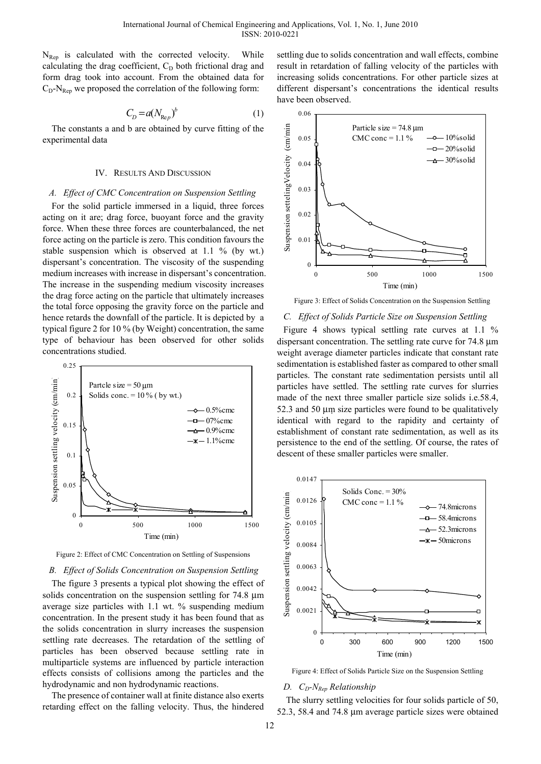$N_{\text{Rep}}$  is calculated with the corrected velocity. While calculating the drag coefficient,  $C<sub>D</sub>$  both frictional drag and form drag took into account. From the obtained data for  $C_D-N_{\text{Ren}}$  we proposed the correlation of the following form:

$$
C_D = a(N_{\text{Re}p})^b \tag{1}
$$

The constants a and b are obtained by curve fitting of the experimental data

#### IV. RESULTS AND DISCUSSION

#### *A. Effect of CMC Concentration on Suspension Settling*

For the solid particle immersed in a liquid, three forces acting on it are; drag force, buoyant force and the gravity force. When these three forces are counterbalanced, the net force acting on the particle is zero. This condition favours the stable suspension which is observed at 1.1 % (by wt.) dispersant's concentration. The viscosity of the suspending medium increases with increase in dispersant's concentration. The increase in the suspending medium viscosity increases the drag force acting on the particle that ultimately increases the total force opposing the gravity force on the particle and hence retards the downfall of the particle. It is depicted by a typical figure 2 for 10 % (by Weight) concentration, the same type of behaviour has been observed for other solids concentrations studied.



Figure 2: Effect of CMC Concentration on Settling of Suspensions

### *B. Effect of Solids Concentration on Suspension Settling*

The figure 3 presents a typical plot showing the effect of solids concentration on the suspension settling for 74.8 μm average size particles with 1.1 wt. % suspending medium concentration. In the present study it has been found that as the solids concentration in slurry increases the suspension settling rate decreases. The retardation of the settling of particles has been observed because settling rate in multiparticle systems are influenced by particle interaction effects consists of collisions among the particles and the hydrodynamic and non hydrodynamic reactions.

The presence of container wall at finite distance also exerts retarding effect on the falling velocity. Thus, the hindered

settling due to solids concentration and wall effects, combine result in retardation of falling velocity of the particles with increasing solids concentrations. For other particle sizes at different dispersant's concentrations the identical results have been observed.



Figure 3: Effect of Solids Concentration on the Suspension Settling

#### *C. Effect of Solids Particle Size on Suspension Settling*

Figure 4 shows typical settling rate curves at 1.1 % dispersant concentration. The settling rate curve for 74.8 μm weight average diameter particles indicate that constant rate sedimentation is established faster as compared to other small particles. The constant rate sedimentation persists until all particles have settled. The settling rate curves for slurries made of the next three smaller particle size solids i.e.58.4, 52.3 and 50 μm size particles were found to be qualitatively identical with regard to the rapidity and certainty of establishment of constant rate sedimentation, as well as its persistence to the end of the settling. Of course, the rates of descent of these smaller particles were smaller.



Figure 4: Effect of Solids Particle Size on the Suspension Settling

#### *D.*  $C_D$ -N<sub>Rep</sub> Relationship

The slurry settling velocities for four solids particle of 50, 52.3, 58.4 and 74.8 μm average particle sizes were obtained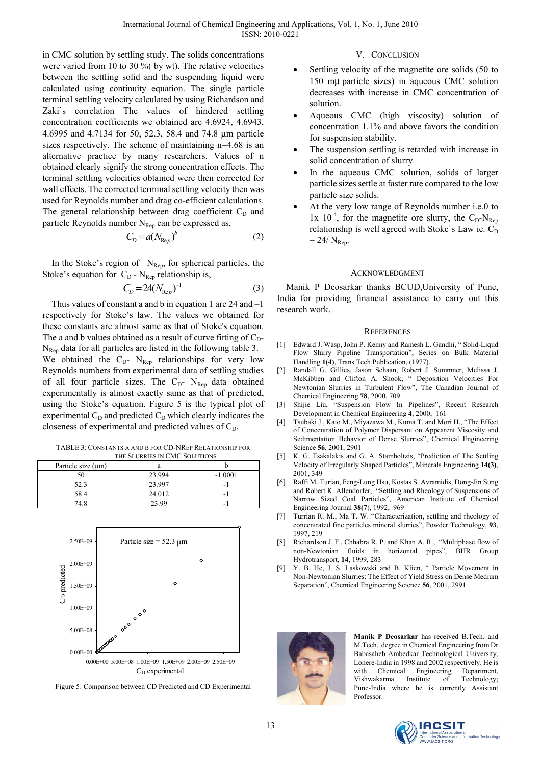in CMC solution by settling study. The solids concentrations were varied from 10 to 30 %( by wt). The relative velocities between the settling solid and the suspending liquid were calculated using continuity equation. The single particle terminal settling velocity calculated by using Richardson and Zaki`s correlation The values of hindered settling concentration coefficients we obtained are 4.6924, 4.6943, 4.6995 and 4.7134 for 50, 52.3, 58.4 and 74.8 μm particle sizes respectively. The scheme of maintaining n=4.68 is an alternative practice by many researchers. Values of n obtained clearly signify the strong concentration effects. The terminal settling velocities obtained were then corrected for wall effects. The corrected terminal settling velocity then was used for Reynolds number and drag co-efficient calculations. The general relationship between drag coefficient  $C_D$  and particle Reynolds number  $N_{\text{Rep}}$  can be expressed as,

$$
C_D = a(N_{\text{Re}p})^b \tag{2}
$$

In the Stoke's region of  $N_{\text{Rep}}$ , for spherical particles, the Stoke's equation for  $C_D$  - N<sub>Rep</sub> relationship is,

$$
C_D = 24(N_{\text{Re}p})^{-1}
$$
 (3)

Thus values of constant a and b in equation 1 are 24 and –1 respectively for Stoke's law. The values we obtained for these constants are almost same as that of Stoke's equation. The a and b values obtained as a result of curve fitting of  $C_D$ - $N_{\text{Rep}}$  data for all particles are listed in the following table 3. We obtained the  $C_D$ - N<sub>Rep</sub> relationships for very low Reynolds numbers from experimental data of settling studies of all four particle sizes. The  $C_D$ - N<sub>Rep</sub> data obtained experimentally is almost exactly same as that of predicted, using the Stoke's equation. Figure 5 is the typical plot of experimental  $C_D$  and predicted  $C_D$  which clearly indicates the closeness of experimental and predicted values of  $C_D$ .

TABLE 3: CONSTANTS A AND B FOR CD-NREP RELATIONSHIP FOR THE SLURRIES IN CMC SOLUTIONS

| THE SLUINIES IN CIVIC SOLUTIONS |           |  |
|---------------------------------|-----------|--|
|                                 |           |  |
| 23.994                          | $-1.0001$ |  |
| 23.997                          |           |  |
| 24.012                          |           |  |
| 23.99                           |           |  |
|                                 |           |  |



Figure 5: Comparison between CD Predicted and CD Experimental

## V. CONCLUSION

- Settling velocity of the magnetite ore solids (50 to 150 mμ particle sizes) in aqueous CMC solution decreases with increase in CMC concentration of solution.
- Aqueous CMC (high viscosity) solution of concentration 1.1% and above favors the condition for suspension stability.
- The suspension settling is retarded with increase in solid concentration of slurry.
- In the aqueous CMC solution, solids of larger particle sizes settle at faster rate compared to the low particle size solids.
- At the very low range of Reynolds number i.e.0 to 1x  $10^{-4}$ , for the magnetite ore slurry, the C<sub>D</sub>-N<sub>Rep</sub> relationship is well agreed with Stoke's Law ie.  $C_D$  $= 24/N_{\text{Ren}}$ .

## ACKNOWLEDGMENT

Manik P Deosarkar thanks BCUD,University of Pune, India for providing financial assistance to carry out this research work.

## **REFERENCES**

- [1] Edward J. Wasp, John P. Kenny and Ramesh L. Gandhi, " Solid-Liqud Flow Slurry Pipeline Transportation", Series on Bulk Material Handling **1(4)**, Trans Tech Publication, (1977).
- [2] Randall G. Gillies, Jason Schaan, Robert J. Summner, Melissa J. McKibben and Clifton A. Shook, " Deposition Velocities For Newtonian Slurries in Turbulent Flow", The Canadian Journal of Chemical Engineering **78**, 2000, 709
- [3] Shijie Liu, "Suspension Flow In Pipelines", Recent Research Development in Chemical Engineering **4**, 2000, 161
- [4] Tsubaki J., Kato M., Miyazawa M., Kuma T. and Mori H., "The Effect of Concentration of Polymer Dispersant on Appearent Viscosity and Sedimentation Behavior of Dense Slurries", Chemical Engineering Science **56**, 2001, 2901
- [5] K. G. Tsakalakis and G. A. Stamboltzis, "Prediction of The Settling Velocity of Irregularly Shaped Particles", Minerals Engineering **14(3)**, 2001, 349
- [6] Raffi M. Turian, Feng-Lung Hsu, Kostas S. Avramidis, Dong-Jin Sung and Robert K. Allendorfer, "Settling and Rheology of Suspensions of Narrow Sized Coal Particles", American Institute of Chemical Engineering Journal **38(7**), 1992, 969
- [7] Turrian R. M., Ma T. W. "Characterization, settling and rheology of concentrated fine particles mineral slurries", Powder Technology, **93**, 1997, 219
- [8] Richardson J. F., Chhabra R. P. and Khan A. R., "Multiphase flow of non-Newtonian fluids in horizontal pipes", BHR Group Hydrotransport, **14**, 1999, 283
- [9] Y. B. He, J. S. Laskowski and B. Klien, " Particle Movement in Non-Newtonian Slurries: The Effect of Yield Stress on Dense Medium Separation", Chemical Engineering Science **56**, 2001, 2991



**Manik P Deosarkar** has received B.Tech. and M.Tech. degree in Chemical Engineering from Dr. Babasaheb Ambedkar Technological University, Lonere-India in 1998 and 2002 respectively. He is with Chemical Engineering Department, Vishwakarma Institute of Technology; Pune-India where he is currently Assistant Professor.